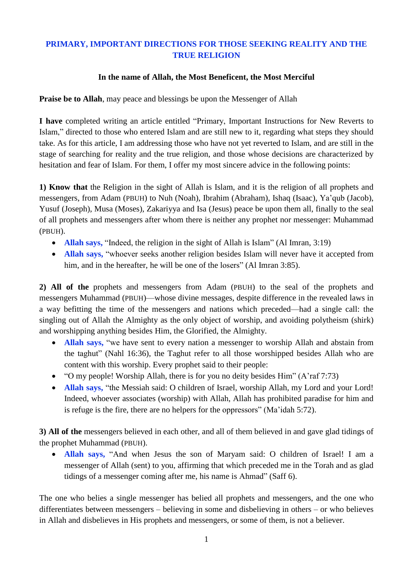## **PRIMARY, IMPORTANT DIRECTIONS FOR THOSE SEEKING REALITY AND THE TRUE RELIGION**

## **In the name of Allah, the Most Beneficent, the Most Merciful**

**Praise be to Allah**, may peace and blessings be upon the Messenger of Allah

**I have** completed writing an article entitled "Primary, Important Instructions for New Reverts to Islam," directed to those who entered Islam and are still new to it, regarding what steps they should take. As for this article, I am addressing those who have not yet reverted to Islam, and are still in the stage of searching for reality and the true religion, and those whose decisions are characterized by hesitation and fear of Islam. For them, I offer my most sincere advice in the following points:

**1) Know that** the Religion in the sight of Allah is Islam, and it is the religion of all prophets and messengers, from Adam (PBUH) to Nuh (Noah), Ibrahim (Abraham), Ishaq (Isaac), Ya'qub (Jacob), Yusuf (Joseph), Musa (Moses), Zakariyya and Isa (Jesus) peace be upon them all, finally to the seal of all prophets and messengers after whom there is neither any prophet nor messenger: Muhammad (PBUH).

- **Allah says,** "Indeed, the religion in the sight of Allah is Islam" (Al Imran, 3:19)
- **Allah says,** "whoever seeks another religion besides Islam will never have it accepted from him, and in the hereafter, he will be one of the losers" (Al Imran 3:85).

**2) All of the** prophets and messengers from Adam (PBUH) to the seal of the prophets and messengers Muhammad (PBUH)—whose divine messages, despite difference in the revealed laws in a way befitting the time of the messengers and nations which preceded—had a single call: the singling out of Allah the Almighty as the only object of worship, and avoiding polytheism (shirk) and worshipping anything besides Him, the Glorified, the Almighty.

- **Allah says,** "we have sent to every nation a messenger to worship Allah and abstain from the taghut" (Nahl 16:36), the Taghut refer to all those worshipped besides Allah who are content with this worship. Every prophet said to their people:
- "O my people! Worship Allah, there is for you no deity besides Him" (A'raf 7:73)
- **Allah says,** "the Messiah said: O children of Israel, worship Allah, my Lord and your Lord! Indeed, whoever associates (worship) with Allah, Allah has prohibited paradise for him and is refuge is the fire, there are no helpers for the oppressors" (Ma'idah 5:72).

**3) All of the** messengers believed in each other, and all of them believed in and gave glad tidings of the prophet Muhammad (PBUH).

 **Allah says,** "And when Jesus the son of Maryam said: O children of Israel! I am a messenger of Allah (sent) to you, affirming that which preceded me in the Torah and as glad tidings of a messenger coming after me, his name is Ahmad" (Saff 6).

The one who belies a single messenger has belied all prophets and messengers, and the one who differentiates between messengers – believing in some and disbelieving in others – or who believes in Allah and disbelieves in His prophets and messengers, or some of them, is not a believer.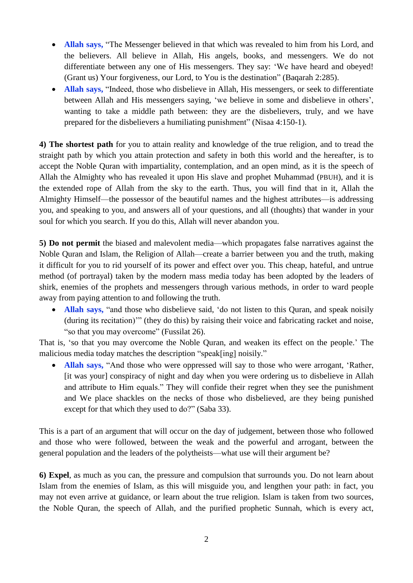- **Allah says,** "The Messenger believed in that which was revealed to him from his Lord, and the believers. All believe in Allah, His angels, books, and messengers. We do not differentiate between any one of His messengers. They say: 'We have heard and obeyed! (Grant us) Your forgiveness, our Lord, to You is the destination" (Baqarah 2:285).
- **Allah says,** "Indeed, those who disbelieve in Allah, His messengers, or seek to differentiate between Allah and His messengers saying, 'we believe in some and disbelieve in others', wanting to take a middle path between: they are the disbelievers, truly, and we have prepared for the disbelievers a humiliating punishment" (Nisaa 4:150-1).

**4) The shortest path** for you to attain reality and knowledge of the true religion, and to tread the straight path by which you attain protection and safety in both this world and the hereafter, is to accept the Noble Quran with impartiality, contemplation, and an open mind, as it is the speech of Allah the Almighty who has revealed it upon His slave and prophet Muhammad (PBUH), and it is the extended rope of Allah from the sky to the earth. Thus, you will find that in it, Allah the Almighty Himself—the possessor of the beautiful names and the highest attributes—is addressing you, and speaking to you, and answers all of your questions, and all (thoughts) that wander in your soul for which you search. If you do this, Allah will never abandon you.

**5) Do not permit** the biased and malevolent media—which propagates false narratives against the Noble Quran and Islam, the Religion of Allah—create a barrier between you and the truth, making it difficult for you to rid yourself of its power and effect over you. This cheap, hateful, and untrue method (of portrayal) taken by the modern mass media today has been adopted by the leaders of shirk, enemies of the prophets and messengers through various methods, in order to ward people away from paying attention to and following the truth.

 **Allah says,** "and those who disbelieve said, 'do not listen to this Quran, and speak noisily (during its recitation)'" (they do this) by raising their voice and fabricating racket and noise, "so that you may overcome" (Fussilat 26).

That is, 'so that you may overcome the Noble Quran, and weaken its effect on the people.' The malicious media today matches the description "speak[ing] noisily."

 **Allah says,** "And those who were oppressed will say to those who were arrogant, 'Rather, [it was your] conspiracy of night and day when you were ordering us to disbelieve in Allah and attribute to Him equals." They will confide their regret when they see the punishment and We place shackles on the necks of those who disbelieved, are they being punished except for that which they used to do?" (Saba 33).

This is a part of an argument that will occur on the day of judgement, between those who followed and those who were followed, between the weak and the powerful and arrogant, between the general population and the leaders of the polytheists—what use will their argument be?

**6) Expel**, as much as you can, the pressure and compulsion that surrounds you. Do not learn about Islam from the enemies of Islam, as this will misguide you, and lengthen your path: in fact, you may not even arrive at guidance, or learn about the true religion. Islam is taken from two sources, the Noble Quran, the speech of Allah, and the purified prophetic Sunnah, which is every act,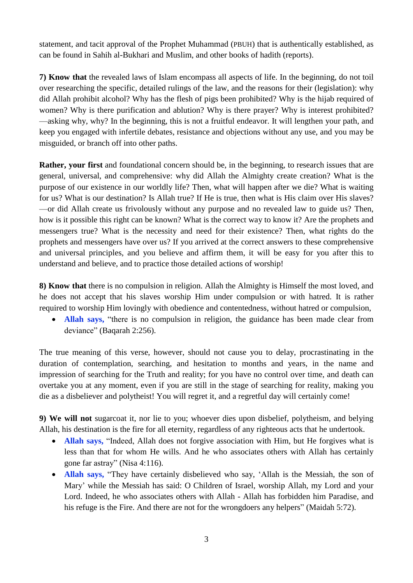statement, and tacit approval of the Prophet Muhammad (PBUH) that is authentically established, as can be found in Sahih al-Bukhari and Muslim, and other books of hadith (reports).

**7) Know that** the revealed laws of Islam encompass all aspects of life. In the beginning, do not toil over researching the specific, detailed rulings of the law, and the reasons for their (legislation): why did Allah prohibit alcohol? Why has the flesh of pigs been prohibited? Why is the hijab required of women? Why is there purification and ablution? Why is there prayer? Why is interest prohibited? —asking why, why? In the beginning, this is not a fruitful endeavor. It will lengthen your path, and keep you engaged with infertile debates, resistance and objections without any use, and you may be misguided, or branch off into other paths.

**Rather, your first** and foundational concern should be, in the beginning, to research issues that are general, universal, and comprehensive: why did Allah the Almighty create creation? What is the purpose of our existence in our worldly life? Then, what will happen after we die? What is waiting for us? What is our destination? Is Allah true? If He is true, then what is His claim over His slaves? —or did Allah create us frivolously without any purpose and no revealed law to guide us? Then, how is it possible this right can be known? What is the correct way to know it? Are the prophets and messengers true? What is the necessity and need for their existence? Then, what rights do the prophets and messengers have over us? If you arrived at the correct answers to these comprehensive and universal principles, and you believe and affirm them, it will be easy for you after this to understand and believe, and to practice those detailed actions of worship!

**8) Know that** there is no compulsion in religion. Allah the Almighty is Himself the most loved, and he does not accept that his slaves worship Him under compulsion or with hatred. It is rather required to worship Him lovingly with obedience and contentedness, without hatred or compulsion,

 **Allah says,** "there is no compulsion in religion, the guidance has been made clear from deviance" (Baqarah 2:256).

The true meaning of this verse, however, should not cause you to delay, procrastinating in the duration of contemplation, searching, and hesitation to months and years, in the name and impression of searching for the Truth and reality; for you have no control over time, and death can overtake you at any moment, even if you are still in the stage of searching for reality, making you die as a disbeliever and polytheist! You will regret it, and a regretful day will certainly come!

**9) We will not** sugarcoat it, nor lie to you; whoever dies upon disbelief, polytheism, and belying Allah, his destination is the fire for all eternity, regardless of any righteous acts that he undertook.

- **Allah says,** "Indeed, Allah does not forgive association with Him, but He forgives what is less than that for whom He wills. And he who associates others with Allah has certainly gone far astray" (Nisa 4:116).
- **Allah says,** "They have certainly disbelieved who say, 'Allah is the Messiah, the son of Mary' while the Messiah has said: O Children of Israel, worship Allah, my Lord and your Lord. Indeed, he who associates others with Allah - Allah has forbidden him Paradise, and his refuge is the Fire. And there are not for the wrongdoers any helpers" (Maidah 5:72).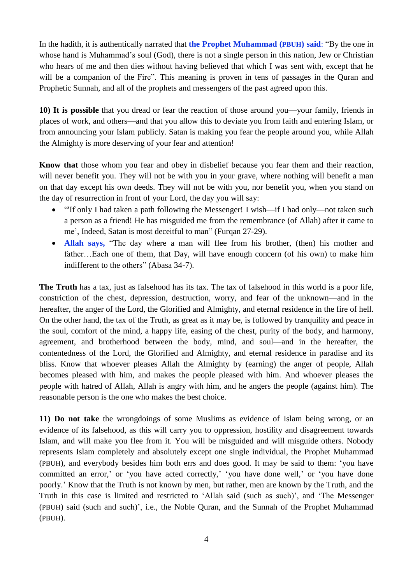In the hadith, it is authentically narrated that **the Prophet Muhammad (PBUH) said**: "By the one in whose hand is Muhammad's soul (God), there is not a single person in this nation, Jew or Christian who hears of me and then dies without having believed that which I was sent with, except that he will be a companion of the Fire". This meaning is proven in tens of passages in the Quran and Prophetic Sunnah, and all of the prophets and messengers of the past agreed upon this.

**10) It is possible** that you dread or fear the reaction of those around you—your family, friends in places of work, and others—and that you allow this to deviate you from faith and entering Islam, or from announcing your Islam publicly. Satan is making you fear the people around you, while Allah the Almighty is more deserving of your fear and attention!

**Know that** those whom you fear and obey in disbelief because you fear them and their reaction, will never benefit you. They will not be with you in your grave, where nothing will benefit a man on that day except his own deeds. They will not be with you, nor benefit you, when you stand on the day of resurrection in front of your Lord, the day you will say:

- "'If only I had taken a path following the Messenger! I wish—if I had only—not taken such a person as a friend! He has misguided me from the remembrance (of Allah) after it came to me', Indeed, Satan is most deceitful to man'' (Furqan 27-29).
- **Allah says,** "The day where a man will flee from his brother, (then) his mother and father…Each one of them, that Day, will have enough concern (of his own) to make him indifferent to the others" (Abasa 34-7).

**The Truth** has a tax, just as falsehood has its tax. The tax of falsehood in this world is a poor life, constriction of the chest, depression, destruction, worry, and fear of the unknown—and in the hereafter, the anger of the Lord, the Glorified and Almighty, and eternal residence in the fire of hell. On the other hand, the tax of the Truth, as great as it may be, is followed by tranquility and peace in the soul, comfort of the mind, a happy life, easing of the chest, purity of the body, and harmony, agreement, and brotherhood between the body, mind, and soul—and in the hereafter, the contentedness of the Lord, the Glorified and Almighty, and eternal residence in paradise and its bliss. Know that whoever pleases Allah the Almighty by (earning) the anger of people, Allah becomes pleased with him, and makes the people pleased with him. And whoever pleases the people with hatred of Allah, Allah is angry with him, and he angers the people (against him). The reasonable person is the one who makes the best choice.

**11) Do not take** the wrongdoings of some Muslims as evidence of Islam being wrong, or an evidence of its falsehood, as this will carry you to oppression, hostility and disagreement towards Islam, and will make you flee from it. You will be misguided and will misguide others. Nobody represents Islam completely and absolutely except one single individual, the Prophet Muhammad (PBUH), and everybody besides him both errs and does good. It may be said to them: 'you have committed an error,' or 'you have acted correctly,' 'you have done well,' or 'you have done poorly.' Know that the Truth is not known by men, but rather, men are known by the Truth, and the Truth in this case is limited and restricted to 'Allah said (such as such)', and 'The Messenger (PBUH) said (such and such)', i.e., the Noble Quran, and the Sunnah of the Prophet Muhammad (PBUH).